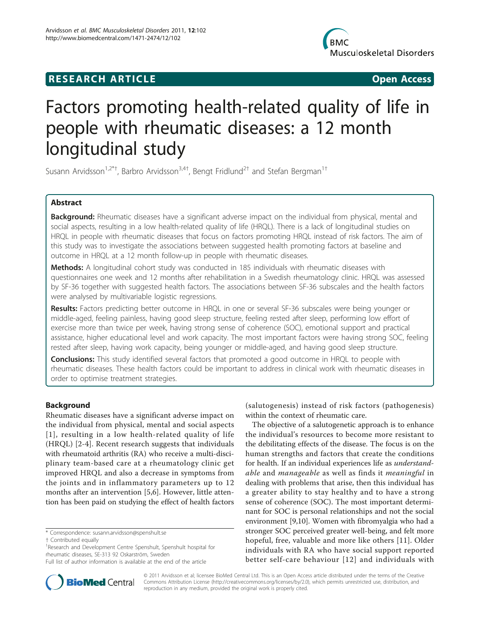## **RESEARCH ARTICLE Example 2018 CONSUMING ACCESS**



# Factors promoting health-related quality of life in people with rheumatic diseases: a 12 month longitudinal study

Susann Arvidsson $^{1,2^{*}+}$ , Barbro Arvidsson $^{3,4+}$ , Bengt Fridlund $^{2+}$  and Stefan Bergman $^{1+}$ 

## Abstract

Background: Rheumatic diseases have a significant adverse impact on the individual from physical, mental and social aspects, resulting in a low health-related quality of life (HRQL). There is a lack of longitudinal studies on HRQL in people with rheumatic diseases that focus on factors promoting HRQL instead of risk factors. The aim of this study was to investigate the associations between suggested health promoting factors at baseline and outcome in HRQL at a 12 month follow-up in people with rheumatic diseases.

Methods: A longitudinal cohort study was conducted in 185 individuals with rheumatic diseases with questionnaires one week and 12 months after rehabilitation in a Swedish rheumatology clinic. HRQL was assessed by SF-36 together with suggested health factors. The associations between SF-36 subscales and the health factors were analysed by multivariable logistic regressions.

Results: Factors predicting better outcome in HRQL in one or several SF-36 subscales were being younger or middle-aged, feeling painless, having good sleep structure, feeling rested after sleep, performing low effort of exercise more than twice per week, having strong sense of coherence (SOC), emotional support and practical assistance, higher educational level and work capacity. The most important factors were having strong SOC, feeling rested after sleep, having work capacity, being younger or middle-aged, and having good sleep structure.

**Conclusions:** This study identified several factors that promoted a good outcome in HRQL to people with rheumatic diseases. These health factors could be important to address in clinical work with rheumatic diseases in order to optimise treatment strategies.

## **Background**

Rheumatic diseases have a significant adverse impact on the individual from physical, mental and social aspects [[1\]](#page-11-0), resulting in a low health-related quality of life (HRQL) [[2-4](#page-11-0)]. Recent research suggests that individuals with rheumatoid arthritis (RA) who receive a multi-disciplinary team-based care at a rheumatology clinic get improved HRQL and also a decrease in symptoms from the joints and in inflammatory parameters up to 12 months after an intervention [[5,6](#page-11-0)]. However, little attention has been paid on studying the effect of health factors

\* Correspondence: [susann.arvidsson@spenshult.se](mailto:susann.arvidsson@spenshult.se)

† Contributed equally <sup>1</sup>

<sup>1</sup>Research and Development Centre Spenshult, Spenshult hospital for rheumatic diseases, SE-313 92 Oskarström, Sweden



The objective of a salutogenetic approach is to enhance the individual's resources to become more resistant to the debilitating effects of the disease. The focus is on the human strengths and factors that create the conditions for health. If an individual experiences life as *understand*able and manageable as well as finds it meaningful in dealing with problems that arise, then this individual has a greater ability to stay healthy and to have a strong sense of coherence (SOC). The most important determinant for SOC is personal relationships and not the social environment [[9](#page-11-0),[10](#page-11-0)]. Women with fibromyalgia who had a stronger SOC perceived greater well-being, and felt more hopeful, free, valuable and more like others [[11\]](#page-11-0). Older individuals with RA who have social support reported better self-care behaviour [[12](#page-11-0)] and individuals with



© 2011 Arvidsson et al; licensee BioMed Central Ltd. This is an Open Access article distributed under the terms of the Creative Commons Attribution License [\(http://creativecommons.org/licenses/by/2.0](http://creativecommons.org/licenses/by/2.0)), which permits unrestricted use, distribution, and reproduction in any medium, provided the original work is properly cited.

Full list of author information is available at the end of the article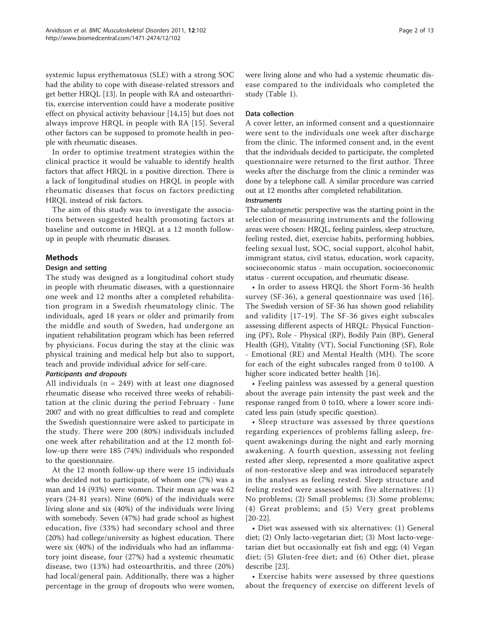systemic lupus erythematosus (SLE) with a strong SOC had the ability to cope with disease-related stressors and get better HRQL [[13](#page-11-0)]. In people with RA and osteoarthritis, exercise intervention could have a moderate positive effect on physical activity behaviour [[14](#page-11-0),[15\]](#page-11-0) but does not always improve HRQL in people with RA [[15](#page-11-0)]. Several other factors can be supposed to promote health in people with rheumatic diseases.

In order to optimise treatment strategies within the clinical practice it would be valuable to identify health factors that affect HRQL in a positive direction. There is a lack of longitudinal studies on HRQL in people with rheumatic diseases that focus on factors predicting HRQL instead of risk factors.

The aim of this study was to investigate the associations between suggested health promoting factors at baseline and outcome in HRQL at a 12 month followup in people with rheumatic diseases.

## Methods

#### Design and setting

The study was designed as a longitudinal cohort study in people with rheumatic diseases, with a questionnaire one week and 12 months after a completed rehabilitation program in a Swedish rheumatology clinic. The individuals, aged 18 years or older and primarily from the middle and south of Sweden, had undergone an inpatient rehabilitation program which has been referred by physicians. Focus during the stay at the clinic was physical training and medical help but also to support, teach and provide individual advice for self-care.

## Participants and dropouts

All individuals ( $n = 249$ ) with at least one diagnosed rheumatic disease who received three weeks of rehabilitation at the clinic during the period February - June 2007 and with no great difficulties to read and complete the Swedish questionnaire were asked to participate in the study. There were 200 (80%) individuals included one week after rehabilitation and at the 12 month follow-up there were 185 (74%) individuals who responded to the questionnaire.

At the 12 month follow-up there were 15 individuals who decided not to participate, of whom one (7%) was a man and 14 (93%) were women. Their mean age was 62 years (24-81 years). Nine (60%) of the individuals were living alone and six (40%) of the individuals were living with somebody. Seven (47%) had grade school as highest education, five (33%) had secondary school and three (20%) had college/university as highest education. There were six (40%) of the individuals who had an inflammatory joint disease, four (27%) had a systemic rheumatic disease, two (13%) had osteoarthritis, and three (20%) had local/general pain. Additionally, there was a higher percentage in the group of dropouts who were women, were living alone and who had a systemic rheumatic disease compared to the individuals who completed the study (Table [1\)](#page-2-0).

#### Data collection

A cover letter, an informed consent and a questionnaire were sent to the individuals one week after discharge from the clinic. The informed consent and, in the event that the individuals decided to participate, the completed questionnaire were returned to the first author. Three weeks after the discharge from the clinic a reminder was done by a telephone call. A similar procedure was carried out at 12 months after completed rehabilitation.

#### Instruments

The salutogenetic perspective was the starting point in the selection of measuring instruments and the following areas were chosen: HRQL, feeling painless, sleep structure, feeling rested, diet, exercise habits, performing hobbies, feeling sexual lust, SOC, social support, alcohol habit, immigrant status, civil status, education, work capacity, socioeconomic status - main occupation, socioeconomic status - current occupation, and rheumatic disease.

• In order to assess HRQL the Short Form-36 health survey (SF-36), a general questionnaire was used [[16](#page-11-0)]. The Swedish version of SF-36 has shown good reliability and validity [[17](#page-11-0)-[19](#page-11-0)]. The SF-36 gives eight subscales assessing different aspects of HRQL: Physical Functioning (PF), Role - Physical (RP), Bodily Pain (BP), General Health (GH), Vitality (VT), Social Functioning (SF), Role - Emotional (RE) and Mental Health (MH). The score for each of the eight subscales ranged from 0 to100. A higher score indicated better health [\[16\]](#page-11-0).

• Feeling painless was assessed by a general question about the average pain intensity the past week and the response ranged from 0 to10, where a lower score indicated less pain (study specific question).

• Sleep structure was assessed by three questions regarding experiences of problems falling asleep, frequent awakenings during the night and early morning awakening. A fourth question, assessing not feeling rested after sleep, represented a more qualitative aspect of non-restorative sleep and was introduced separately in the analyses as feeling rested. Sleep structure and feeling rested were assessed with five alternatives: (1) No problems; (2) Small problems; (3) Some problems; (4) Great problems; and (5) Very great problems [[20-22\]](#page-11-0).

• Diet was assessed with six alternatives: (1) General diet; (2) Only lacto-vegetarian diet; (3) Most lacto-vegetarian diet but occasionally eat fish and egg; (4) Vegan diet; (5) Gluten-free diet; and (6) Other diet, please describe [\[23](#page-11-0)].

• Exercise habits were assessed by three questions about the frequency of exercise on different levels of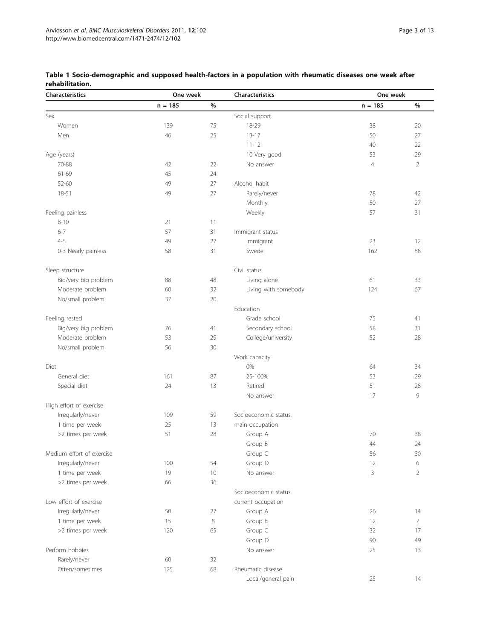| <b>Characteristics</b>    | One week  |      | Characteristics       | One week       |                |  |
|---------------------------|-----------|------|-----------------------|----------------|----------------|--|
|                           | $n = 185$ | $\%$ |                       | $n = 185$      | $\%$           |  |
| Sex                       |           |      | Social support        |                |                |  |
| Women                     | 139       | 75   | 18-29                 | 38             | 20             |  |
| Men                       | 46        | 25   | $13 - 17$             | 50             | 27             |  |
|                           |           |      | $11 - 12$             | 40             | 22             |  |
| Age (years)               |           |      | 10 Very good          | 53             | 29             |  |
| 70-88                     | 42        | 22   | No answer             | $\overline{4}$ | $\overline{2}$ |  |
| 61-69                     | 45        | 24   |                       |                |                |  |
| 52-60                     | 49        | 27   | Alcohol habit         |                |                |  |
| 18-51                     | 49        | 27   | Rarely/never          | 78             | 42             |  |
|                           |           |      | Monthly               | 50             | 27             |  |
| Feeling painless          |           |      | Weekly                | 57             | 31             |  |
| $8 - 10$                  | 21        | 11   |                       |                |                |  |
| $6 - 7$                   | 57        | 31   | Immigrant status      |                |                |  |
| $4 - 5$                   | 49        | 27   | Immigrant             | 23             | 12             |  |
| 0-3 Nearly painless       | 58        | 31   | Swede                 | 162            | 88             |  |
|                           |           |      |                       |                |                |  |
| Sleep structure           |           |      | Civil status          |                |                |  |
| Big/very big problem      | 88        | 48   | Living alone          | 61             | 33             |  |
| Moderate problem          | 60        | 32   | Living with somebody  | 124            | 67             |  |
| No/small problem          | 37        | 20   |                       |                |                |  |
|                           |           |      | Education             |                |                |  |
| Feeling rested            |           |      | Grade school          | 75             | 41             |  |
| Big/very big problem      | 76        | 41   | Secondary school      | 58             | 31             |  |
| Moderate problem          | 53        | 29   | College/university    | 52             | 28             |  |
| No/small problem          | 56        | 30   |                       |                |                |  |
|                           |           |      | Work capacity         |                |                |  |
| Diet                      |           |      | 0%                    | 64             | 34             |  |
| General diet              | 161       | 87   | 25-100%               | 53             | 29             |  |
| Special diet              | 24        | 13   | Retired               | 51             | 28             |  |
|                           |           |      | No answer             | 17             | 9              |  |
| High effort of exercise   |           |      |                       |                |                |  |
| Irregularly/never         | 109       | 59   | Socioeconomic status, |                |                |  |
| 1 time per week           | 25        | 13   | main occupation       |                |                |  |
| >2 times per week         | 51        | 28   | Group A               | 70             | 38             |  |
|                           |           |      | Group B               | 44             | 24             |  |
| Medium effort of exercise |           |      | Group C               | 56             | 30             |  |
| Irregularly/never         | 100       | 54   | Group D               | 12             | 6              |  |
| 1 time per week           | 19        | 10   | No answer             | 3              | $\overline{2}$ |  |
| >2 times per week         | 66        | 36   |                       |                |                |  |
|                           |           |      | Socioeconomic status, |                |                |  |
| Low effort of exercise    |           |      | current occupation    |                |                |  |
| Irregularly/never         | 50        | 27   | Group A               | 26             | 14             |  |
| 1 time per week           | 15        | 8    | Group B               | 12             | 7              |  |
| >2 times per week         | 120       | 65   | Group C               | 32             | 17             |  |
|                           |           |      | Group D               | 90             | 49             |  |
| Perform hobbies           |           |      | No answer             | 25             | 13             |  |
| Rarely/never              | 60        | 32   |                       |                |                |  |
| Often/sometimes           | 125       | 68   | Rheumatic disease     |                |                |  |
|                           |           |      | Local/general pain    | 25             | 14             |  |

## <span id="page-2-0"></span>Table 1 Socio-demographic and supposed health-factors in a population with rheumatic diseases one week after rehabilitation.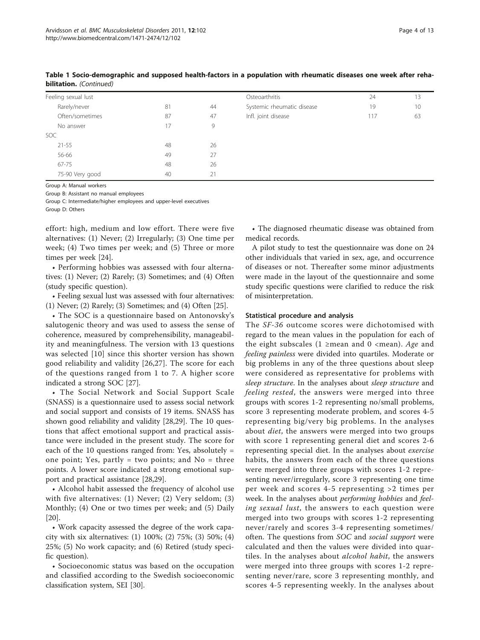| Feeling sexual lust                                                                                                                                                                                                                   |    |    | Osteoarthritis             | 24  | 13 |
|---------------------------------------------------------------------------------------------------------------------------------------------------------------------------------------------------------------------------------------|----|----|----------------------------|-----|----|
| Rarely/never                                                                                                                                                                                                                          | 81 | 44 | Systemic rheumatic disease | 19  | 10 |
| Often/sometimes                                                                                                                                                                                                                       | 87 | 47 | Infl. joint disease        | 117 | 63 |
| No answer                                                                                                                                                                                                                             | 17 | 9  |                            |     |    |
| SOC.                                                                                                                                                                                                                                  |    |    |                            |     |    |
| $21 - 55$                                                                                                                                                                                                                             | 48 | 26 |                            |     |    |
| 56-66                                                                                                                                                                                                                                 | 49 | 27 |                            |     |    |
| 67-75                                                                                                                                                                                                                                 | 48 | 26 |                            |     |    |
| 75-90 Very good                                                                                                                                                                                                                       | 40 | 21 |                            |     |    |
| $\sigma$ . $\sigma$ . A Model of the set of the set of the set of the set of the set of the set of the set of the set of the set of the set of the set of the set of the set of the set of the set of the set of the set of the set o |    |    |                            |     |    |

Table 1 Socio-demographic and supposed health-factors in a population with rheumatic diseases one week after rehabilitation. (Continued)

Group A: Manual workers

Group B: Assistant no manual employees

Group C: Intermediate/higher employees and upper-level executives Group D: Others

effort: high, medium and low effort. There were five alternatives: (1) Never; (2) Irregularly; (3) One time per week; (4) Two times per week; and (5) Three or more times per week [\[24\]](#page-11-0).

• Performing hobbies was assessed with four alternatives: (1) Never; (2) Rarely; (3) Sometimes; and (4) Often (study specific question).

• Feeling sexual lust was assessed with four alternatives: (1) Never; (2) Rarely; (3) Sometimes; and (4) Often [\[25\]](#page-11-0).

• The SOC is a questionnaire based on Antonovsky's salutogenic theory and was used to assess the sense of coherence, measured by comprehensibility, manageability and meaningfulness. The version with 13 questions was selected [\[10\]](#page-11-0) since this shorter version has shown good reliability and validity [\[26](#page-11-0),[27\]](#page-11-0). The score for each of the questions ranged from 1 to 7. A higher score indicated a strong SOC [\[27](#page-11-0)].

• The Social Network and Social Support Scale (SNASS) is a questionnaire used to assess social network and social support and consists of 19 items. SNASS has shown good reliability and validity [\[28](#page-11-0)[,29\]](#page-12-0). The 10 questions that affect emotional support and practical assistance were included in the present study. The score for each of the 10 questions ranged from: Yes, absolutely = one point; Yes, partly  $=$  two points; and No  $=$  three points. A lower score indicated a strong emotional support and practical assistance [\[28](#page-11-0)[,29](#page-12-0)].

• Alcohol habit assessed the frequency of alcohol use with five alternatives: (1) Never; (2) Very seldom; (3) Monthly; (4) One or two times per week; and (5) Daily [[20\]](#page-11-0).

• Work capacity assessed the degree of the work capacity with six alternatives: (1) 100%; (2) 75%; (3) 50%; (4) 25%; (5) No work capacity; and (6) Retired (study specific question).

• Socioeconomic status was based on the occupation and classified according to the Swedish socioeconomic classification system, SEI [[30](#page-12-0)].

• The diagnosed rheumatic disease was obtained from medical records.

A pilot study to test the questionnaire was done on 24 other individuals that varied in sex, age, and occurrence of diseases or not. Thereafter some minor adjustments were made in the layout of the questionnaire and some study specific questions were clarified to reduce the risk of misinterpretation.

#### Statistical procedure and analysis

The SF-36 outcome scores were dichotomised with regard to the mean values in the population for each of the eight subscales (1 ≥mean and 0 <mean). Age and feeling painless were divided into quartiles. Moderate or big problems in any of the three questions about sleep were considered as representative for problems with sleep structure. In the analyses about sleep structure and feeling rested, the answers were merged into three groups with scores 1-2 representing no/small problems, score 3 representing moderate problem, and scores 4-5 representing big/very big problems. In the analyses about *diet*, the answers were merged into two groups with score 1 representing general diet and scores 2-6 representing special diet. In the analyses about exercise habits, the answers from each of the three questions were merged into three groups with scores 1-2 representing never/irregularly, score 3 representing one time per week and scores 4-5 representing >2 times per week. In the analyses about *performing hobbies* and *feel*ing sexual lust, the answers to each question were merged into two groups with scores 1-2 representing never/rarely and scores 3-4 representing sometimes/ often. The questions from SOC and social support were calculated and then the values were divided into quartiles. In the analyses about *alcohol habit*, the answers were merged into three groups with scores 1-2 representing never/rare, score 3 representing monthly, and scores 4-5 representing weekly. In the analyses about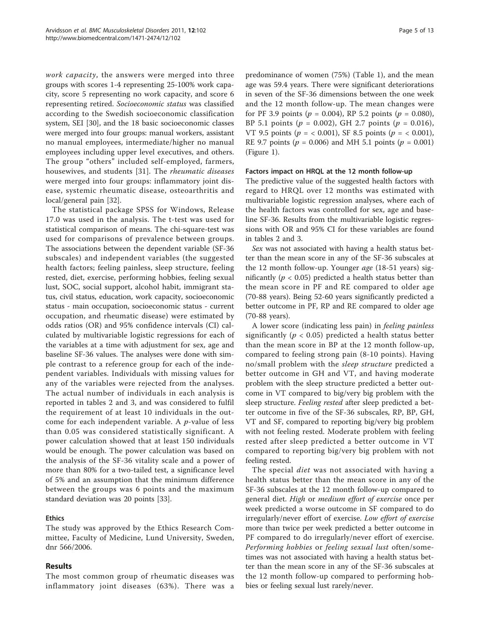work capacity, the answers were merged into three groups with scores 1-4 representing 25-100% work capacity, score 5 representing no work capacity, and score 6 representing retired. Socioeconomic status was classified according to the Swedish socioeconomic classification system, SEI [\[30\]](#page-12-0), and the 18 basic socioeconomic classes were merged into four groups: manual workers, assistant no manual employees, intermediate/higher no manual employees including upper level executives, and others. The group "others" included self-employed, farmers, housewives, and students [[31\]](#page-12-0). The rheumatic diseases were merged into four groups: inflammatory joint disease, systemic rheumatic disease, osteoarthritis and local/general pain [[32](#page-12-0)].

The statistical package SPSS for Windows, Release 17.0 was used in the analysis. The t-test was used for statistical comparison of means. The chi-square-test was used for comparisons of prevalence between groups. The associations between the dependent variable (SF-36 subscales) and independent variables (the suggested health factors; feeling painless, sleep structure, feeling rested, diet, exercise, performing hobbies, feeling sexual lust, SOC, social support, alcohol habit, immigrant status, civil status, education, work capacity, socioeconomic status - main occupation, socioeconomic status - current occupation, and rheumatic disease) were estimated by odds ratios (OR) and 95% confidence intervals (CI) calculated by multivariable logistic regressions for each of the variables at a time with adjustment for sex, age and baseline SF-36 values. The analyses were done with simple contrast to a reference group for each of the independent variables. Individuals with missing values for any of the variables were rejected from the analyses. The actual number of individuals in each analysis is reported in tables [2](#page-5-0) and [3](#page-7-0), and was considered to fulfil the requirement of at least 10 individuals in the outcome for each independent variable. A  $p$ -value of less than 0.05 was considered statistically significant. A power calculation showed that at least 150 individuals would be enough. The power calculation was based on the analysis of the SF-36 vitality scale and a power of more than 80% for a two-tailed test, a significance level of 5% and an assumption that the minimum difference between the groups was 6 points and the maximum standard deviation was 20 points [\[33\]](#page-12-0).

## Ethics

The study was approved by the Ethics Research Committee, Faculty of Medicine, Lund University, Sweden, dnr 566/2006.

## Results

The most common group of rheumatic diseases was inflammatory joint diseases (63%). There was a

predominance of women (75%) (Table [1\)](#page-2-0), and the mean age was 59.4 years. There were significant deteriorations in seven of the SF-36 dimensions between the one week and the 12 month follow-up. The mean changes were for PF 3.9 points ( $p = 0.004$ ), RP 5.2 points ( $p = 0.080$ ), BP 5.1 points ( $p = 0.002$ ), GH 2.7 points ( $p = 0.016$ ), VT 9.5 points ( $p = < 0.001$ ), SF 8.5 points ( $p = < 0.001$ ), RE 9.7 points ( $p = 0.006$ ) and MH 5.1 points ( $p = 0.001$ ) (Figure [1\)](#page-9-0).

#### Factors impact on HRQL at the 12 month follow-up

The predictive value of the suggested health factors with regard to HRQL over 12 months was estimated with multivariable logistic regression analyses, where each of the health factors was controlled for sex, age and baseline SF-36. Results from the multivariable logistic regressions with OR and 95% CI for these variables are found in tables [2](#page-5-0) and [3.](#page-7-0)

Sex was not associated with having a health status better than the mean score in any of the SF-36 subscales at the 12 month follow-up. Younger age (18-51 years) significantly ( $p < 0.05$ ) predicted a health status better than the mean score in PF and RE compared to older age (70-88 years). Being 52-60 years significantly predicted a better outcome in PF, RP and RE compared to older age (70-88 years).

A lower score (indicating less pain) in feeling painless significantly ( $p < 0.05$ ) predicted a health status better than the mean score in BP at the 12 month follow-up, compared to feeling strong pain (8-10 points). Having no/small problem with the sleep structure predicted a better outcome in GH and VT, and having moderate problem with the sleep structure predicted a better outcome in VT compared to big/very big problem with the sleep structure. Feeling rested after sleep predicted a better outcome in five of the SF-36 subscales, RP, BP, GH, VT and SF, compared to reporting big/very big problem with not feeling rested. Moderate problem with feeling rested after sleep predicted a better outcome in VT compared to reporting big/very big problem with not feeling rested.

The special *diet* was not associated with having a health status better than the mean score in any of the SF-36 subscales at the 12 month follow-up compared to general diet. High or medium effort of exercise once per week predicted a worse outcome in SF compared to do irregularly/never effort of exercise. Low effort of exercise more than twice per week predicted a better outcome in PF compared to do irregularly/never effort of exercise. Performing hobbies or feeling sexual lust often/sometimes was not associated with having a health status better than the mean score in any of the SF-36 subscales at the 12 month follow-up compared to performing hobbies or feeling sexual lust rarely/never.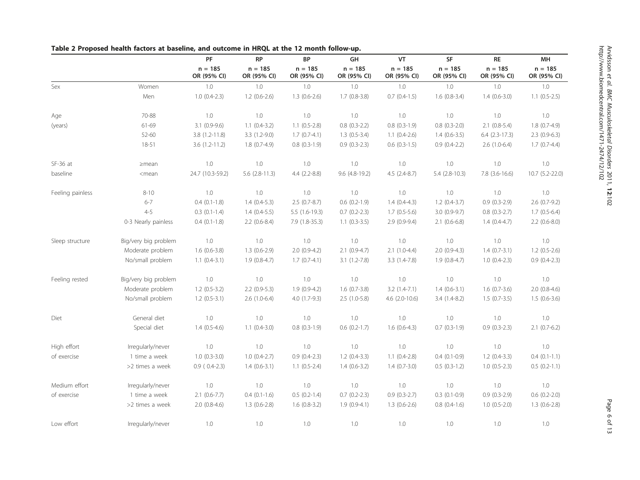|                  |                      | PF                       | <b>RP</b>                | <b>BP</b>                | GH                       | VT                       | SF                       | $\sf RE$                 | MH                       |
|------------------|----------------------|--------------------------|--------------------------|--------------------------|--------------------------|--------------------------|--------------------------|--------------------------|--------------------------|
|                  |                      | $n = 185$<br>OR (95% CI) | $n = 185$<br>OR (95% CI) | $n = 185$<br>OR (95% CI) | $n = 185$<br>OR (95% CI) | $n = 185$<br>OR (95% CI) | $n = 185$<br>OR (95% CI) | $n = 185$<br>OR (95% CI) | $n = 185$<br>OR (95% CI) |
| Sex              | Women                | 1.0                      | $1.0\,$                  | $1.0\,$                  | $1.0\,$                  | 1.0                      | 1.0                      | 1.0                      | 1.0                      |
|                  | Men                  | $1.0(0.4-2.3)$           | $1.2$ (0.6-2.6)          | $1.3(0.6-2.6)$           | $1.7(0.8-3.8)$           | $0.7$ $(0.4-1.5)$        | $1.6$ (0.8-3.4)          | $1.4(0.6-3.0)$           | $1.1(0.5-2.5)$           |
| Age              | 70-88                | $1.0\,$                  | $1.0\,$                  | 1.0                      | 1.0                      | $1.0\,$                  | 1.0                      | $1.0\,$                  | $1.0\,$                  |
| (years)          | 61-69                | $3.1(0.9-9.6)$           | $1.1 (0.4 - 3.2)$        | $1.1(0.5-2.8)$           | $0.8$ $(0.3-2.2)$        | $0.8(0.3-1.9)$           | $0.8(0.3-2.0)$           | $2.1(0.8-5.4)$           | $1.8(0.7-4.9)$           |
|                  | 52-60                | $3.8(1.2 - 11.8)$        | $3.3(1.2-9.0)$           | $1.7(0.7-4.1)$           | $1.3(0.5-3.4)$           | $1.1(0.4-2.6)$           | $1.4(0.6-3.5)$           | $6.4$ $(2.3-17.3)$       | $2.3(0.9-6.3)$           |
|                  | $18 - 51$            | $3.6(1.2-11.2)$          | $1.8(0.7-4.9)$           | $0.8$ $(0.3-1.9)$        | $0.9(0.3-2.3)$           | $0.6$ $(0.3-1.5)$        | $0.9(0.4-2.2)$           | $2.6(1.0-6.4)$           | $1.7(0.7-4.4)$           |
| $SF-36$ at       | $\geq$ mean          | 1.0                      | 1.0                      | 1.0                      | 1.0                      | $1.0\,$                  | 1.0                      | 1.0                      | 1.0                      |
| baseline         | $<$ mean             | 24.7 (10.3-59.2)         | $5.6$ (2.8-11.3)         | $4.4(2.2-8.8)$           | 9.6 (4.8-19.2)           | $4.5(2.4-8.7)$           | $5.4(2.8-10.3)$          | 7.8 (3.6-16.6)           | 10.7 (5.2-22.0)          |
| Feeling painless | $8 - 10$             | 1.0                      | 1.0                      | 1.0                      | 1.0                      | 1.0                      | 1.0                      | 1.0                      | 1.0                      |
|                  | $6 - 7$              | $0.4(0.1-1.8)$           | $1.4(0.4-5.3)$           | $2.5(0.7-8.7)$           | $0.6$ $(0.2-1.9)$        | $1.4(0.4-4.3)$           | $1.2(0.4-3.7)$           | $0.9(0.3-2.9)$           | $2.6(0.7-9.2)$           |
|                  | $4 - 5$              | $0.3(0.1-1.4)$           | $1.4(0.4-5.5)$           | $5.5(1.6-19.3)$          | $0.7$ $(0.2 - 2.3)$      | $1.7(0.5-5.6)$           | 3.0 (0.9-9.7)            | $0.8$ $(0.3-2.7)$        | $1.7(0.5-6.4)$           |
|                  | 0-3 Nearly painless  | $0.4(0.1-1.8)$           | $2.2$ (0.6-8.4)          | 7.9 (1.8-35.3)           | $1.1(0.3-3.5)$           | $2.9(0.9-9.4)$           | $2.1$ (0.6-6.8)          | $1.4(0.4-4.7)$           | $2.2$ (0.6-8.0)          |
| Sleep structure  | Big/very big problem | 1.0                      | 1.0                      | 1.0                      | 1.0                      | $1.0\,$                  | 1.0                      | 1.0                      | 1.0                      |
|                  | Moderate problem     | $1.6(0.6-3.8)$           | $1.3(0.6-2.9)$           | $2.0(0.9-4.2)$           | $2.1$ (0.9-4.7)          | $2.1(1.0-4.4)$           | $2.0(0.9-4.3)$           | $1.4(0.7-3.1)$           | $1.2$ (0.5-2.6)          |
|                  | No/small problem     | $1.1(0.4-3.1)$           | $1.9(0.8-4.7)$           | $1.7(0.7-4.1)$           | $3.1(1.2-7.8)$           | $3.3(1.4-7.8)$           | $1.9(0.8-4.7)$           | $1.0(0.4-2.3)$           | $0.9(0.4-2.3)$           |
| Feeling rested   | Big/very big problem | 1.0                      | $1.0\,$                  | 1.0                      | 1.0                      | $1.0\,$                  | 1.0                      | 1.0                      | 1.0                      |
|                  | Moderate problem     | $1.2$ (0.5-3.2)          | $2.2$ (0.9-5.3)          | $1.9(0.9-4.2)$           | $1.6(0.7-3.8)$           | $3.2(1.4-7.1)$           | $1.4(0.6-3.1)$           | $1.6(0.7-3.6)$           | $2.0(0.8-4.6)$           |
|                  | No/small problem     | $1.2(0.5-3.1)$           | $2.6(1.0-6.4)$           | $4.0(1.7-9.3)$           | $2.5(1.0-5.8)$           | $4.6$ (2.0-10.6)         | $3.4(1.4-8.2)$           | $1.5(0.7-3.5)$           | $1.5(0.6-3.6)$           |
| Diet             | General diet         | 1.0                      | 1.0                      | 1.0                      | 1.0                      | 1.0                      | 1.0                      | $1.0\,$                  | 1.0                      |
|                  | Special diet         | $1.4(0.5-4.6)$           | $1.1(0.4-3.0)$           | $0.8(0.3-1.9)$           | $0.6(0.2-1.7)$           | $1.6(0.6-4.3)$           | $0.7(0.3-1.9)$           | $0.9(0.3-2.3)$           | $2.1$ (0.7-6.2)          |
| High effort      | Irregularly/never    | 1.0                      | 1.0                      | 1.0                      | 1.0                      | 1.0                      | 1.0                      | 1.0                      | 1.0                      |
| of exercise      | 1 time a week        | $1.0(0.3-3.0)$           | $1.0(0.4-2.7)$           | $0.9(0.4-2.3)$           | $1.2(0.4-3.3)$           | $1.1(0.4-2.8)$           | $0.4(0.1-0.9)$           | $1.2(0.4-3.3)$           | $0.4(0.1-1.1)$           |
|                  | >2 times a week      | $0.9(0.4-2.3)$           | $1.4(0.6-3.1)$           | $1.1 (0.5 - 2.4)$        | $1.4(0.6-3.2)$           | $1.4(0.7-3.0)$           | $0.5(0.3-1.2)$           | $1.0 (0.5 - 2.3)$        | $0.5(0.2-1.1)$           |
| Medium effort    | Irregularly/never    | 1.0                      | $1.0\,$                  | 1.0                      | 1.0                      | 1.0                      | 1.0                      | 1.0                      | 1.0                      |
| of exercise      | 1 time a week        | $2.1$ (0.6-7.7)          | $0.4(0.1-1.6)$           | $0.5(0.2-1.4)$           | $0.7$ $(0.2-2.3)$        | $0.9(0.3-2.7)$           | $0.3$ $(0.1-0.9)$        | $0.9(0.3-2.9)$           | $0.6(0.2-2.0)$           |
|                  | >2 times a week      | $2.0(0.8-4.6)$           | $1.3(0.6-2.8)$           | $1.6(0.8-3.2)$           | $1.9(0.9-4.1)$           | $1.3(0.6-2.6)$           | $0.8(0.4-1.6)$           | $1.0(0.5-2.0)$           | $1.3(0.6-2.8)$           |
| Low effort       | Irregularly/never    | 1.0                      | 1.0                      | 1.0                      | 1.0                      | $1.0\,$                  | 1.0                      | 1.0                      | 1.0                      |

## <span id="page-5-0"></span>Table 2 Proposed health factors at baseline, and outcome in HRQL at the 12 month follow-up.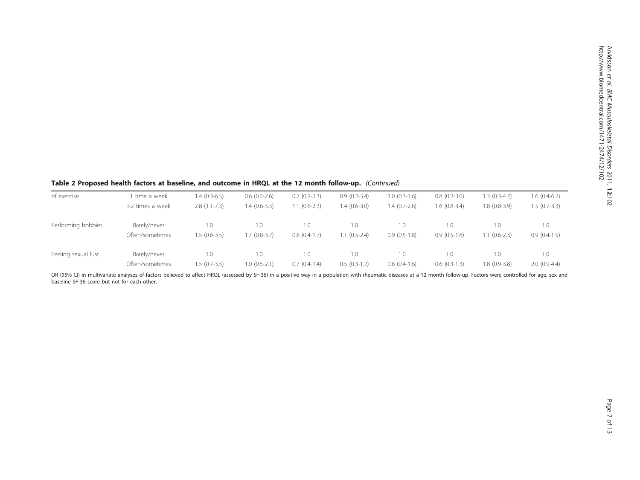## Table 2 Proposed health factors at baseline, and outcome in HRQL at the 12 month follow-up. (Continued)

| of exercise         | time a week     | $1.4(0.3-6.5)$ | $0.6(0.2-2.6)$ | $0.7(0.2-2.3)$ | $0.9(0.2-3.4)$ | $1.0(0.3-3.6)$ | $0.8(0.2-3.0)$ | $1.3(0.3-4.7)$ | $1.6(0.4-6.2)$ |
|---------------------|-----------------|----------------|----------------|----------------|----------------|----------------|----------------|----------------|----------------|
|                     | >2 times a week | $2.8(1.1-7.3)$ | $1.4(0.6-3.3)$ | $1.1(0.6-2.3)$ | $1.4(0.6-3.0)$ | $1.4(0.7-2.8)$ | $1.6(0.8-3.4)$ | 1.8 (0.8-3.9)  | $1.5(0.7-3.3)$ |
| Performing hobbies  | Rarely/never    | $\Omega$ .     | 1.0            | 1.0            | .0             | . 0. 1         | 1.0            | 1.0            | 1.0            |
|                     | Often/sometimes | $1.5(0.6-3.5)$ | $.7(0.8-3.7)$  | $0.8(0.4-1.7)$ | $1.1(0.5-2.4)$ | $0.9(0.5-1.8)$ | $0.9(0.5-1.8)$ | $1.1(0.6-2.3)$ | $0.9(0.4-1.9)$ |
| Feeling sexual lust | Rarely/never    | $\Omega$ .     | 1.0            | 1.0            | 1.0            | 0.1            | 1.0            | 1.0            | 1.0            |
|                     | Often/sometimes | $1.5(0.7-3.5)$ | $1.0(0.5-2.1)$ | $0.7(0.4-1.4)$ | $0.5(0.3-1.2)$ | $0.8(0.4-1.6)$ | $0.6(0.3-1.3)$ | 1.8 (0.9-3.8)  | $2.0(0.9-4.4)$ |

OR (95% CI) in multivariate analyses of factors believed to affect HRQL (assessed by SF-36) in a positive way in a population with rheumatic diseases at a 12 month follow-up. Factors were controlled for age, sex and baseline SF-36 score but not for each other.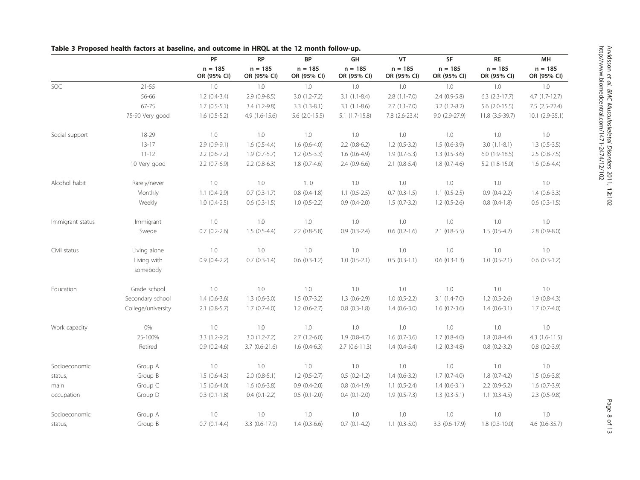|                  |                         | $\mathsf{PF}$            | <b>RP</b>                | <b>BP</b>                | GH                       | VT                       | SF                       | <b>RE</b>                | MH                       |
|------------------|-------------------------|--------------------------|--------------------------|--------------------------|--------------------------|--------------------------|--------------------------|--------------------------|--------------------------|
|                  |                         | $n = 185$<br>OR (95% CI) | $n = 185$<br>OR (95% CI) | $n = 185$<br>OR (95% CI) | $n = 185$<br>OR (95% CI) | $n = 185$<br>OR (95% CI) | $n = 185$<br>OR (95% CI) | $n = 185$<br>OR (95% CI) | $n = 185$<br>OR (95% CI) |
| SOC              | $21 - 55$               | 1.0                      | 1.0                      | 1.0                      | $1.0\,$                  | $1.0\,$                  | $1.0\,$                  | $1.0\,$                  | $1.0\,$                  |
|                  | 56-66                   | $1.2(0.4-3.4)$           | $2.9(0.9-8.5)$           | $3.0(1.2-7.2)$           | $3.1(1.1 - 8.4)$         | $2.8(1.1-7.0)$           | $2.4(0.9-5.8)$           | $6.3$ $(2.3-17.7)$       | $4.7(1.7-12.7)$          |
|                  | 67-75                   | $1.7(0.5-5.1)$           | 3.4 (1.2-9.8)            | $3.3(1.3-8.1)$           | $3.1(1.1-8.6)$           | $2.7(1.1-7.0)$           | $3.2(1.2-8.2)$           | $5.6$ (2.0-15.5)         | $7.5(2.5-22.4)$          |
|                  | 75-90 Very good         | $1.6(0.5-5.2)$           | $4.9(1.6-15.6)$          | $5.6$ (2.0-15.5)         | $5.1(1.7-15.8)$          | 7.8 (2.6-23.4)           | 9.0 (2.9-27.9)           | 11.8 (3.5-39.7)          | $10.1 (2.9 - 35.1)$      |
| Social support   | 18-29                   | 1.0                      | 1.0                      | $1.0\,$                  | 1.0                      | $1.0\,$                  | $1.0\,$                  | 1.0                      | 1.0                      |
|                  | $13-17$                 | $2.9(0.9-9.1)$           | $1.6(0.5-4.4)$           | $1.6(0.6-4.0)$           | $2.2$ (0.8-6.2)          | $1.2$ (0.5-3.2)          | $1.5(0.6-3.9)$           | $3.0(1.1-8.1)$           | $1.3(0.5-3.5)$           |
|                  | $11 - 12$               | $2.2(0.6-7.2)$           | $1.9(0.7-5.7)$           | $1.2$ (0.5-3.3)          | $1.6(0.6-4.9)$           | $1.9(0.7-5.3)$           | $1.3(0.5-3.6)$           | $6.0(1.9-18.5)$          | $2.5(0.8-7.5)$           |
|                  | 10 Very good            | $2.2(0.7-6.9)$           | $2.2$ (0.8-6.3)          | $1.8(0.7-4.6)$           | $2.4(0.9-6.6)$           | $2.1$ (0.8-5.4)          | $1.8(0.7-4.6)$           | $5.2$ $(1.8-15.0)$       | $1.6(0.6-4.4)$           |
| Alcohol habit    | Rarely/never            | 1.0                      | 1.0                      | 1.0                      | 1.0                      | 1.0                      | 1.0                      | 1.0                      | 1.0                      |
|                  | Monthly                 | $1.1(0.4-2.9)$           | $0.7$ $(0.3-1.7)$        | $0.8$ $(0.4-1.8)$        | $1.1 (0.5 - 2.5)$        | $0.7$ $(0.3-1.5)$        | $1.1 (0.5 - 2.5)$        | $0.9(0.4-2.2)$           | $1.4(0.6-3.3)$           |
|                  | Weekly                  | $1.0(0.4-2.5)$           | $0.6$ $(0.3-1.5)$        | $1.0 (0.5 - 2.2)$        | $0.9(0.4-2.0)$           | $1.5(0.7-3.2)$           | $1.2(0.5-2.6)$           | $0.8$ $(0.4-1.8)$        | $0.6(0.3-1.5)$           |
| Immigrant status | Immigrant               | 1.0                      | 1.0                      | $1.0\,$                  | 1.0                      | $1.0\,$                  | $1.0\,$                  | 1.0                      | 1.0                      |
|                  | Swede                   | $0.7$ $(0.2 - 2.6)$      | $1.5(0.5-4.4)$           | $2.2$ (0.8-5.8)          | $0.9(0.3-2.4)$           | $0.6$ $(0.2-1.6)$        | $2.1$ (0.8-5.5)          | $1.5(0.5-4.2)$           | $2.8(0.9-8.0)$           |
| Civil status     | Living alone            | 1.0                      | 1.0                      | 1.0                      | 1.0                      | $1.0\,$                  | $1.0\,$                  | 1.0                      | 1.0                      |
|                  | Living with<br>somebody | $0.9(0.4-2.2)$           | $0.7(0.3-1.4)$           | $0.6$ $(0.3-1.2)$        | $1.0 (0.5 - 2.1)$        | $0.5(0.3-1.1)$           | $0.6(0.3-1.3)$           | $1.0(0.5-2.1)$           | $0.6$ $(0.3-1.2)$        |
| Education        | Grade school            | 1.0                      | $1.0\,$                  | $1.0\,$                  | $1.0\,$                  | $1.0\,$                  | $1.0\,$                  | 1.0                      | 1.0                      |
|                  | Secondary school        | $1.4(0.6-3.6)$           | $1.3(0.6-3.0)$           | $1.5(0.7-3.2)$           | $1.3(0.6-2.9)$           | $1.0 (0.5 - 2.2)$        | $3.1(1.4-7.0)$           | $1.2$ (0.5-2.6)          | $1.9(0.8-4.3)$           |
|                  | College/university      | $2.1$ (0.8-5.7)          | $1.7(0.7-4.0)$           | $1.2(0.6-2.7)$           | $0.8$ $(0.3-1.8)$        | $1.4(0.6-3.0)$           | $1.6(0.7-3.6)$           | $1.4(0.6-3.1)$           | $1.7(0.7-4.0)$           |
| Work capacity    | 0%                      | 1.0                      | 1.0                      | 1.0                      | 1.0                      | 1.0                      | $1.0\,$                  | 1.0                      | 1.0                      |
|                  | 25-100%                 | $3.3(1.2-9.2)$           | $3.0(1.2-7.2)$           | $2.7(1.2-6.0)$           | $1.9(0.8-4.7)$           | $1.6(0.7-3.6)$           | $1.7(0.8-4.0)$           | $1.8(0.8-4.4)$           | $4.3(1.6-11.5)$          |
|                  | Retired                 | $0.9(0.2-4.6)$           | $3.7(0.6-21.6)$          | $1.6(0.4-6.3)$           | $2.7(0.6-11.3)$          | $1.4(0.4-5.4)$           | $1.2(0.3-4.8)$           | $0.8(0.2-3.2)$           | $0.8(0.2-3.9)$           |
| Socioeconomic    | Group A                 | 1.0                      | 1.0                      | 1.0                      | 1.0                      | $1.0\,$                  | $1.0\,$                  | 1.0                      | $1.0\,$                  |
| status,          | Group B                 | $1.5(0.6-4.3)$           | $2.0(0.8-5.1)$           | $1.2 (0.5 - 2.7)$        | $0.5$ $(0.2-1.2)$        | $1.4(0.6-3.2)$           | $1.7(0.7-4.0)$           | $1.8(0.7-4.2)$           | $1.5(0.6-3.8)$           |
| main             | Group C                 | $1.5(0.6-4.0)$           | $1.6(0.6-3.8)$           | $0.9(0.4-2.0)$           | $0.8$ $(0.4-1.9)$        | $1.1 (0.5 - 2.4)$        | $1.4(0.6-3.1)$           | $2.2(0.9-5.2)$           | $1.6(0.7-3.9)$           |
| occupation       | Group D                 | $0.3$ $(0.1-1.8)$        | $0.4$ $(0.1 - 2.2)$      | $0.5(0.1-2.0)$           | $0.4(0.1-2.0)$           | $1.9(0.5-7.3)$           | $1.3(0.3-5.1)$           | $1.1(0.3-4.5)$           | $2.3$ (0.5-9.8)          |
| Socioeconomic    | Group A                 | 1.0                      | 1.0                      | 1.0                      | 1.0                      | $1.0\,$                  | $1.0\,$                  | 1.0                      | $1.0\,$                  |
| status,          | Group B                 | $0.7(0.1-4.4)$           | 3.3 (0.6-17.9)           | $1.4(0.3-6.6)$           | $0.7$ $(0.1-4.2)$        | $1.1$ (0.3-5.0)          | 3.3 (0.6-17.9)           | $1.8(0.3 - 10.0)$        | $4.6(0.6 - 35.7)$        |

## <span id="page-7-0"></span>Table 3 Proposed health factors at baseline, and outcome in HRQL at the 12 month follow-up.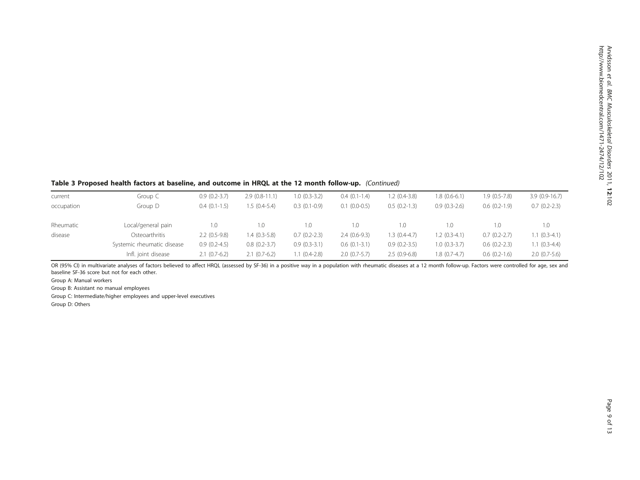## Table 3 Proposed health factors at baseline, and outcome in HRQL at the 12 month follow-up. (Continued)

| current    | Group C                    | $0.9(0.2-3.7)$ | $2.9(0.8-11.1)$ | $1.0(0.3-3.2)$ | $0.4(0.1-1.4)$      | $1.2(0.4-3.8)$ | $1.8(0.6-6.1)$ | $1.9(0.5-7.8)$ | $3.9(0.9-16.7)$ |
|------------|----------------------------|----------------|-----------------|----------------|---------------------|----------------|----------------|----------------|-----------------|
| occupation | Group D                    | $0.4(0.1-1.5)$ | $.5(0.4-5.4)$   | $0.3(0.1-0.9)$ | $0.1$ $(0.0 - 0.5)$ | $0.5(0.2-1.3)$ | $0.9(0.3-2.6)$ | $0.6(0.2-1.9)$ | $0.7(0.2-2.3)$  |
|            |                            |                |                 |                |                     |                |                |                |                 |
| Rheumatic  | Local/general pain         | 1.0            | 1.0             | 1.0            | $\Omega$ .          | 1.0            | 1.0            | 1.0            | 1.0             |
| disease    | Osteoarthritis             | $2.2(0.5-9.8)$ | $1.4(0.3-5.8)$  | $0.7(0.2-2.3)$ | $2.4(0.6-9.3)$      | $1.3(0.4-4.7)$ | $1.2(0.3-4.1)$ | $0.7(0.2-2.7)$ | $(0.3-4.1)$     |
|            | Systemic rheumatic disease | $0.9(0.2-4.5)$ | $0.8(0.2-3.7)$  | $0.9(0.3-3.1)$ | $0.6(0.1-3.1)$      | $0.9(0.2-3.5)$ | $1.0(0.3-3.7)$ | $0.6(0.2-2.3)$ | $.1(0.3-4.4)$   |
|            | Infl. joint disease        | $2.1(0.7-6.2)$ | $2.1(0.7-6.2)$  | $1.1(0.4-2.8)$ | $2.0(0.7-5.7)$      | $2.5(0.9-6.8)$ | $1.8(0.7-4.7)$ | $0.6(0.2-1.6)$ | $2.0(0.7-5.6)$  |

OR (95% CI) in multivariate analyses of factors believed to affect HRQL (assessed by SF-36) in a positive way in a population with rheumatic diseases at a 12 month follow-up. Factors were controlled for age, sex and baseline SF-36 score but not for each other.

Group A: Manual workers

Group B: Assistant no manual employees

Group C: Intermediate/higher employees and upper-level executives

Group D: Others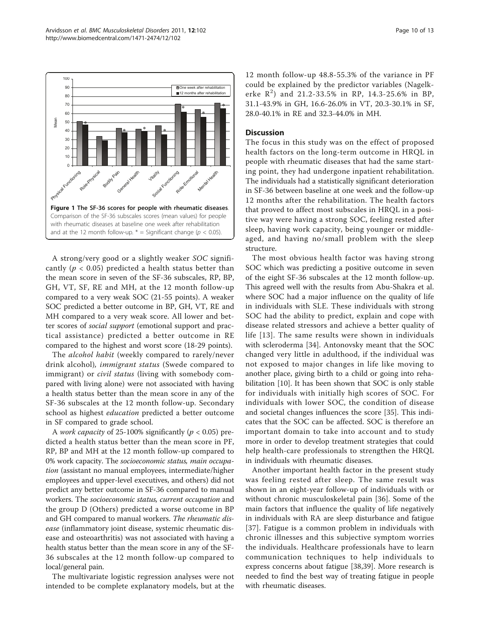<span id="page-9-0"></span>

A strong/very good or a slightly weaker SOC significantly ( $p < 0.05$ ) predicted a health status better than the mean score in seven of the SF-36 subscales, RP, BP, GH, VT, SF, RE and MH, at the 12 month follow-up compared to a very weak SOC (21-55 points). A weaker SOC predicted a better outcome in BP, GH, VT, RE and MH compared to a very weak score. All lower and better scores of social support (emotional support and practical assistance) predicted a better outcome in RE compared to the highest and worst score (18-29 points).

The alcohol habit (weekly compared to rarely/never drink alcohol), immigrant status (Swede compared to immigrant) or *civil status* (living with somebody compared with living alone) were not associated with having a health status better than the mean score in any of the SF-36 subscales at the 12 month follow-up. Secondary school as highest education predicted a better outcome in SF compared to grade school.

A *work capacity* of 25-100% significantly ( $p < 0.05$ ) predicted a health status better than the mean score in PF, RP, BP and MH at the 12 month follow-up compared to 0% work capacity. The socioeconomic status, main occupation (assistant no manual employees, intermediate/higher employees and upper-level executives, and others) did not predict any better outcome in SF-36 compared to manual workers. The socioeconomic status, current occupation and the group D (Others) predicted a worse outcome in BP and GH compared to manual workers. The rheumatic disease (inflammatory joint disease, systemic rheumatic disease and osteoarthritis) was not associated with having a health status better than the mean score in any of the SF-36 subscales at the 12 month follow-up compared to local/general pain.

The multivariate logistic regression analyses were not intended to be complete explanatory models, but at the

12 month follow-up 48.8-55.3% of the variance in PF could be explained by the predictor variables (Nagelkerke  $R^2$ ) and 21.2-33.5% in RP, 14.3-25.6% in BP, 31.1-43.9% in GH, 16.6-26.0% in VT, 20.3-30.1% in SF, 28.0-40.1% in RE and 32.3-44.0% in MH.

#### **Discussion**

The focus in this study was on the effect of proposed health factors on the long-term outcome in HRQL in people with rheumatic diseases that had the same starting point, they had undergone inpatient rehabilitation. The individuals had a statistically significant deterioration in SF-36 between baseline at one week and the follow-up 12 months after the rehabilitation. The health factors that proved to affect most subscales in HRQL in a positive way were having a strong SOC, feeling rested after sleep, having work capacity, being younger or middleaged, and having no/small problem with the sleep structure.

The most obvious health factor was having strong SOC which was predicting a positive outcome in seven of the eight SF-36 subscales at the 12 month follow-up. This agreed well with the results from Abu-Shakra et al. where SOC had a major influence on the quality of life in individuals with SLE. These individuals with strong SOC had the ability to predict, explain and cope with disease related stressors and achieve a better quality of life [\[13\]](#page-11-0). The same results were shown in individuals with scleroderma [[34\]](#page-12-0). Antonovsky meant that the SOC changed very little in adulthood, if the individual was not exposed to major changes in life like moving to another place, giving birth to a child or going into rehabilitation [\[10](#page-11-0)]. It has been shown that SOC is only stable for individuals with initially high scores of SOC. For individuals with lower SOC, the condition of disease and societal changes influences the score [[35](#page-12-0)]. This indicates that the SOC can be affected. SOC is therefore an important domain to take into account and to study more in order to develop treatment strategies that could help health-care professionals to strengthen the HRQL in individuals with rheumatic diseases.

Another important health factor in the present study was feeling rested after sleep. The same result was shown in an eight-year follow-up of individuals with or without chronic musculoskeletal pain [[36\]](#page-12-0). Some of the main factors that influence the quality of life negatively in individuals with RA are sleep disturbance and fatigue [[37](#page-12-0)]. Fatigue is a common problem in individuals with chronic illnesses and this subjective symptom worries the individuals. Healthcare professionals have to learn communication techniques to help individuals to express concerns about fatigue [[38](#page-12-0),[39](#page-12-0)]. More research is needed to find the best way of treating fatigue in people with rheumatic diseases.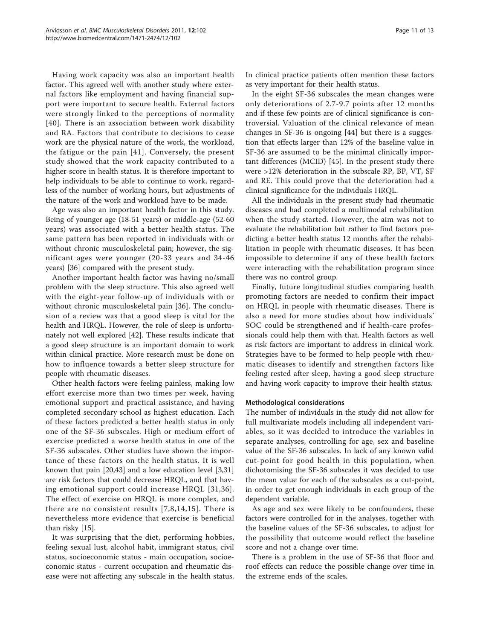Having work capacity was also an important health factor. This agreed well with another study where external factors like employment and having financial support were important to secure health. External factors were strongly linked to the perceptions of normality [[40\]](#page-12-0). There is an association between work disability and RA. Factors that contribute to decisions to cease work are the physical nature of the work, the workload, the fatigue or the pain [[41\]](#page-12-0). Conversely, the present study showed that the work capacity contributed to a higher score in health status. It is therefore important to help individuals to be able to continue to work, regardless of the number of working hours, but adjustments of the nature of the work and workload have to be made.

Age was also an important health factor in this study. Being of younger age (18-51 years) or middle-age (52-60 years) was associated with a better health status. The same pattern has been reported in individuals with or without chronic musculoskeletal pain; however, the significant ages were younger (20-33 years and 34-46 years) [[36\]](#page-12-0) compared with the present study.

Another important health factor was having no/small problem with the sleep structure. This also agreed well with the eight-year follow-up of individuals with or without chronic musculoskeletal pain [[36\]](#page-12-0). The conclusion of a review was that a good sleep is vital for the health and HRQL. However, the role of sleep is unfortunately not well explored [[42\]](#page-12-0). These results indicate that a good sleep structure is an important domain to work within clinical practice. More research must be done on how to influence towards a better sleep structure for people with rheumatic diseases.

Other health factors were feeling painless, making low effort exercise more than two times per week, having emotional support and practical assistance, and having completed secondary school as highest education. Each of these factors predicted a better health status in only one of the SF-36 subscales. High or medium effort of exercise predicted a worse health status in one of the SF-36 subscales. Other studies have shown the importance of these factors on the health status. It is well known that pain [[20,](#page-11-0)[43\]](#page-12-0) and a low education level [[3](#page-11-0),[31](#page-12-0)] are risk factors that could decrease HRQL, and that having emotional support could increase HRQL [\[31,36\]](#page-12-0). The effect of exercise on HRQL is more complex, and there are no consistent results [[7,8,14](#page-11-0),[15](#page-11-0)]. There is nevertheless more evidence that exercise is beneficial than risky [[15\]](#page-11-0).

It was surprising that the diet, performing hobbies, feeling sexual lust, alcohol habit, immigrant status, civil status, socioeconomic status - main occupation, socioeconomic status - current occupation and rheumatic disease were not affecting any subscale in the health status. In clinical practice patients often mention these factors as very important for their health status.

In the eight SF-36 subscales the mean changes were only deteriorations of 2.7-9.7 points after 12 months and if these few points are of clinical significance is controversial. Valuation of the clinical relevance of mean changes in SF-36 is ongoing [[44\]](#page-12-0) but there is a suggestion that effects larger than 12% of the baseline value in SF-36 are assumed to be the minimal clinically important differences (MCID) [\[45](#page-12-0)]. In the present study there were >12% deterioration in the subscale RP, BP, VT, SF and RE. This could prove that the deterioration had a clinical significance for the individuals HRQL.

All the individuals in the present study had rheumatic diseases and had completed a multimodal rehabilitation when the study started. However, the aim was not to evaluate the rehabilitation but rather to find factors predicting a better health status 12 months after the rehabilitation in people with rheumatic diseases. It has been impossible to determine if any of these health factors were interacting with the rehabilitation program since there was no control group.

Finally, future longitudinal studies comparing health promoting factors are needed to confirm their impact on HRQL in people with rheumatic diseases. There is also a need for more studies about how individuals' SOC could be strengthened and if health-care professionals could help them with that. Health factors as well as risk factors are important to address in clinical work. Strategies have to be formed to help people with rheumatic diseases to identify and strengthen factors like feeling rested after sleep, having a good sleep structure and having work capacity to improve their health status.

#### Methodological considerations

The number of individuals in the study did not allow for full multivariate models including all independent variables, so it was decided to introduce the variables in separate analyses, controlling for age, sex and baseline value of the SF-36 subscales. In lack of any known valid cut-point for good health in this population, when dichotomising the SF-36 subscales it was decided to use the mean value for each of the subscales as a cut-point, in order to get enough individuals in each group of the dependent variable.

As age and sex were likely to be confounders, these factors were controlled for in the analyses, together with the baseline values of the SF-36 subscales, to adjust for the possibility that outcome would reflect the baseline score and not a change over time.

There is a problem in the use of SF-36 that floor and roof effects can reduce the possible change over time in the extreme ends of the scales.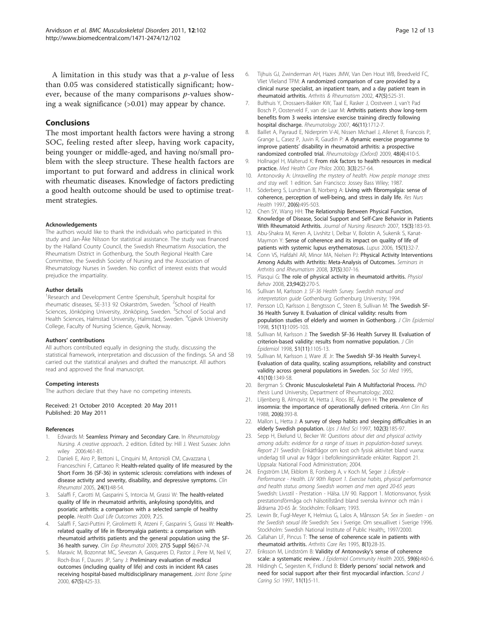<span id="page-11-0"></span>A limitation in this study was that a  $p$ -value of less than 0.05 was considered statistically significant; however, because of the many comparisons  $p$ -values showing a weak significance (>0.01) may appear by chance.

#### Conclusions

The most important health factors were having a strong SOC, feeling rested after sleep, having work capacity, being younger or middle-aged, and having no/small problem with the sleep structure. These health factors are important to put forward and address in clinical work with rheumatic diseases. Knowledge of factors predicting a good health outcome should be used to optimise treatment strategies.

#### **Acknowledgements**

The authors would like to thank the individuals who participated in this study and Jan-Åke Nilsson for statistical assistance. The study was financed by the Halland County Council, the Swedish Rheumatism Association, the Rheumatism District in Gothenburg, the South Regional Health Care Committee, the Swedish Society of Nursing and the Association of Rheumatology Nurses in Sweden. No conflict of interest exists that would prejudice the impartiality.

#### Author details

<sup>1</sup> Research and Development Centre Spenshult, Spenshult hospital for rheumatic diseases, SE-313 92 Oskarström, Sweden. <sup>2</sup>School of Health Sciences, Jönköping University, Jönköping, Sweden. <sup>3</sup>School of Social and Health Sciences, Halmstad University, Halmstad, Sweden. <sup>4</sup>Gjøvik University College, Faculty of Nursing Science, Gjøvik, Norway.

#### Authors' contributions

All authors contributed equally in designing the study, discussing the statistical framework, interpretation and discussion of the findings. SA and SB carried out the statistical analyses and drafted the manuscript. All authors read and approved the final manuscript.

#### Competing interests

The authors declare that they have no competing interests.

Received: 21 October 2010 Accepted: 20 May 2011 Published: 20 May 2011

#### References

- 1. Edwards M: Seamless Primary and Secondary Care. In Rheumatology Nursing. A creative approach.. 2 edition. Edited by: Hill J. West Sussex: John wiley 2006:461-81.
- 2. Danieli E, Airo P, Bettoni L, Cinquini M, Antonioli CM, Cavazzana I, Franceschini F, Cattaneo R: [Health-related quality of life measured by the](http://www.ncbi.nlm.nih.gov/pubmed/15300468?dopt=Abstract) [Short Form 36 \(SF-36\) in systemic sclerosis: correlations with indexes of](http://www.ncbi.nlm.nih.gov/pubmed/15300468?dopt=Abstract) [disease activity and severity, disability, and depressive symptoms.](http://www.ncbi.nlm.nih.gov/pubmed/15300468?dopt=Abstract) Clin Rheumatol 2005, 24(1):48-54.
- Salaffi F, Carotti M, Gasparini S, Intorcia M, Grassi W: [The health-related](http://www.ncbi.nlm.nih.gov/pubmed/19296831?dopt=Abstract) [quality of life in rheumatoid arthritis, ankylosing spondylitis, and](http://www.ncbi.nlm.nih.gov/pubmed/19296831?dopt=Abstract) [psoriatic arthritis: a comparison with a selected sample of healthy](http://www.ncbi.nlm.nih.gov/pubmed/19296831?dopt=Abstract) [people.](http://www.ncbi.nlm.nih.gov/pubmed/19296831?dopt=Abstract) Health Qual Life Outcomes 2009, 7:25.
- 4. Salaffi F, Sarzi-Puttini P, Girolimetti R, Atzeni F, Gasparini S, Grassi W: [Health](http://www.ncbi.nlm.nih.gov/pubmed/20074443?dopt=Abstract)[related quality of life in fibromyalgia patients: a comparison with](http://www.ncbi.nlm.nih.gov/pubmed/20074443?dopt=Abstract) [rheumatoid arthritis patients and the general population using the SF-](http://www.ncbi.nlm.nih.gov/pubmed/20074443?dopt=Abstract)[36 health survey.](http://www.ncbi.nlm.nih.gov/pubmed/20074443?dopt=Abstract) Clin Exp Rheumatol 2009, 27(5 Suppl 56):67-74.
- Maravic M, Bozonnat MC, Sevezan A, Gasqueres D, Pastor J, Pere M, Neil V, Roch-Bras F, Daures JP, Sany J: [Preliminary evaluation of medical](http://www.ncbi.nlm.nih.gov/pubmed/11143909?dopt=Abstract) [outcomes \(including quality of life\) and costs in incident RA cases](http://www.ncbi.nlm.nih.gov/pubmed/11143909?dopt=Abstract) [receiving hospital-based multidisciplinary management.](http://www.ncbi.nlm.nih.gov/pubmed/11143909?dopt=Abstract) Joint Bone Spine 2000, 67(5):425-33.
- 6. Tijhuis GJ, Zwinderman AH, Hazes JMW, Van Den Hout WB, Breedveld FC, Vliet Vlieland TPM: [A randomized comparison of care provided by a](http://www.ncbi.nlm.nih.gov/pubmed/12382302?dopt=Abstract) [clinical nurse specialist, an inpatient team, and a day patient team in](http://www.ncbi.nlm.nih.gov/pubmed/12382302?dopt=Abstract) [rheumatoid arthritis.](http://www.ncbi.nlm.nih.gov/pubmed/12382302?dopt=Abstract) Arthritis & Rheumatism 2002, 47(5):525-31.
- 7. Bulthuis Y, Drossaers-Bakker KW, Taal E, Rasker J, Oostveen J, van't Pad Bosch P, Oosterveld F, van de Laar M: [Arthritis patients show long-term](http://www.ncbi.nlm.nih.gov/pubmed/17956917?dopt=Abstract) [benefits from 3 weeks intensive exercise training directly following](http://www.ncbi.nlm.nih.gov/pubmed/17956917?dopt=Abstract) [hospital discharge.](http://www.ncbi.nlm.nih.gov/pubmed/17956917?dopt=Abstract) Rheumatology 2007, 46(11):1712-7.
- 8. Baillet A, Payraud E, Niderprim V-Al, Nissen Michael J, Allenet B, Francois P, Grange L, Casez P, Juvin R, Gaudin P: A dynamic exercise programme to improve patients' disability in rheumatoid arthritis: a prospective randomized controlled trial. Rheumatology (Oxford) 2009, 48(4):410-5.
- 9. Hollnagel H, Malterud K: [From risk factors to health resources in medical](http://www.ncbi.nlm.nih.gov/pubmed/11200026?dopt=Abstract) [practice.](http://www.ncbi.nlm.nih.gov/pubmed/11200026?dopt=Abstract) Med Health Care Philos 2000, 3(3):257-64.
- 10. Antonovsky A: Unravelling the mystery of health. How people manage stress and stay well. 1 edition. San Francisco: Jossey Bass Wiley; 1987.
- 11. Söderberg S, Lundman B, Norberg A: [Living with fibromyalgia: sense of](http://www.ncbi.nlm.nih.gov/pubmed/9397129?dopt=Abstract) [coherence, perception of well-being, and stress in daily life.](http://www.ncbi.nlm.nih.gov/pubmed/9397129?dopt=Abstract) Res Nurs Health 1997, 20(6):495-503.
- 12. Chen SY, Wang HH: [The Relationship Between Physical Function,](http://www.ncbi.nlm.nih.gov/pubmed/17806035?dopt=Abstract) [Knowledge of Disease, Social Support and Self-Care Behavior in Patients](http://www.ncbi.nlm.nih.gov/pubmed/17806035?dopt=Abstract) [With Rheumatoid Arthritis.](http://www.ncbi.nlm.nih.gov/pubmed/17806035?dopt=Abstract) Journal of Nursing Research 2007, 15(3):183-93.
- 13. Abu-Shakra M, Keren A, Livshitz I, Delbar V, Bolotin A, Sukenik S, Kanat-Maymon Y: [Sense of coherence and its impact on quality of life of](http://www.ncbi.nlm.nih.gov/pubmed/16482743?dopt=Abstract) [patients with systemic lupus erythematosus.](http://www.ncbi.nlm.nih.gov/pubmed/16482743?dopt=Abstract) Lupus 2006, 15(1):32-7.
- 14. Conn VS, Hafdahl AR, Minor MA, Nielsen PJ: [Physical Activity Interventions](http://www.ncbi.nlm.nih.gov/pubmed/17888500?dopt=Abstract) [Among Adults with Arthritis: Meta-Analysis of Outcomes.](http://www.ncbi.nlm.nih.gov/pubmed/17888500?dopt=Abstract) Seminars in Arthritis and Rheumatism 2008, 37(5):307-16.
- 15. Plasqui G: [The role of physical activity in rheumatoid arthritis.](http://www.ncbi.nlm.nih.gov/pubmed/18234247?dopt=Abstract) Physiol Behav 2008, 23;94(2):270-5.
- 16. Sullivan M, Karlsson J: SF-36 Health Survey. Swedish manual and interpretation guide Gothenburg: Gothenburg University; 1994.
- 17. Persson LO, Karlsson J, Bengtsson C, Steen B, Sullivan M: [The Swedish SF-](http://www.ncbi.nlm.nih.gov/pubmed/9817127?dopt=Abstract)[36 Health Survey II. Evaluation of clinical validity: results from](http://www.ncbi.nlm.nih.gov/pubmed/9817127?dopt=Abstract) [population studies of elderly and women in Gothenborg.](http://www.ncbi.nlm.nih.gov/pubmed/9817127?dopt=Abstract) J Clin Epidemiol 1998, 51(11):1095-103.
- 18. Sullivan M, Karlsson J: [The Swedish SF-36 Health Survey III. Evaluation of](http://www.ncbi.nlm.nih.gov/pubmed/9817128?dopt=Abstract) [criterion-based validity: results from normative population.](http://www.ncbi.nlm.nih.gov/pubmed/9817128?dopt=Abstract) J Clin Epidemiol 1998, 51(11):1105-13.
- 19. Sullivan M, Karlsson J, Ware JE Jr: [The Swedish SF-36 Health Survey-I.](http://www.ncbi.nlm.nih.gov/pubmed/8560302?dopt=Abstract) [Evaluation of data quality, scaling assumptions, reliability and construct](http://www.ncbi.nlm.nih.gov/pubmed/8560302?dopt=Abstract) [validity across general populations in Sweden.](http://www.ncbi.nlm.nih.gov/pubmed/8560302?dopt=Abstract) Soc Sci Med 1995, 41(10):1349-58.
- 20. Bergman S: Chronic Musculoskeletal Pain A Multifactorial Process. PhD thesis Lund University, Department of Rheumatology; 2002.
- 21. Liljenberg B, Almqvist M, Hetta J, Roos BE, Ågren H: [The prevalence of](http://www.ncbi.nlm.nih.gov/pubmed/3218910?dopt=Abstract) [insomnia: the importance of operationally defined criteria.](http://www.ncbi.nlm.nih.gov/pubmed/3218910?dopt=Abstract) Ann Clin Res 1988, 20(6):393-8.
- 22. Mallon L, Hetta J: [A survey of sleep habits and sleeping difficulties in an](http://www.ncbi.nlm.nih.gov/pubmed/9556843?dopt=Abstract) [elderly Swedish population.](http://www.ncbi.nlm.nih.gov/pubmed/9556843?dopt=Abstract) Ups J Med Sci 1997, 102(3):185-97.
- 23. Sepp H, Ekelund U, Becker W: Questions about diet and physical activity among adults: evidence for a range of issues in population-based surveys. Report 21 Swedish: Enkätfrågor om kost och fysisk aktivitet bland vuxna: underlag till urval av frågor i befolkningsinriktade enkäter. Rapport 21. Uppsala: National Food Administration; 2004.
- 24. Engström LM, Ekblom B, Forsberg A, v Koch M, Seger J: Lifestyle Performance - Health. LIV 90th Report 1. Exercise habits, physical performance and health status among Swedish women and men aged 20-65 years Swedish: Livsstil - Prestation - Hälsa. LIV 90. Rapport 1. Motionsvanor, fysisk prestationsförmåga och hälsotillstånd bland svenska kvinnor och män i åldrarna 20-65 år. Stockholm: Folksam; 1993.
- 25. Lewin Br, Fugl-Meyer K, Helmius G, Lalos A, Månsson SA: Sex in Sweden on the Swedish sexual life Swedish: Sex i Sverige. Om sexuallivet i Sverige 1996. Stockholm: Swedish National Institute of Public Health;, 1997/2000.
- 26. Callahan LF, Pincus T: [The sense of coherence scale in patients with](http://www.ncbi.nlm.nih.gov/pubmed/7794978?dopt=Abstract) [rheumatoid arthritis.](http://www.ncbi.nlm.nih.gov/pubmed/7794978?dopt=Abstract) Arthritis Care Res 1995, 8(1):28-35.
- 27. Eriksson M, Lindström B: [Validity of Antonovsky](http://www.ncbi.nlm.nih.gov/pubmed/15911640?dopt=Abstract)'s sense of coherence [scale: a systematic review.](http://www.ncbi.nlm.nih.gov/pubmed/15911640?dopt=Abstract) J Epidemiol Community Health 2005, 59(6):460-6.
- 28. Hildingh C, Segesten K, Fridlund B: Elderly persons' [social network and](http://www.ncbi.nlm.nih.gov/pubmed/9275816?dopt=Abstract) [need for social support after their first myocardial infarction.](http://www.ncbi.nlm.nih.gov/pubmed/9275816?dopt=Abstract) Scand J Caring Sci 1997, 11(1):5-11.